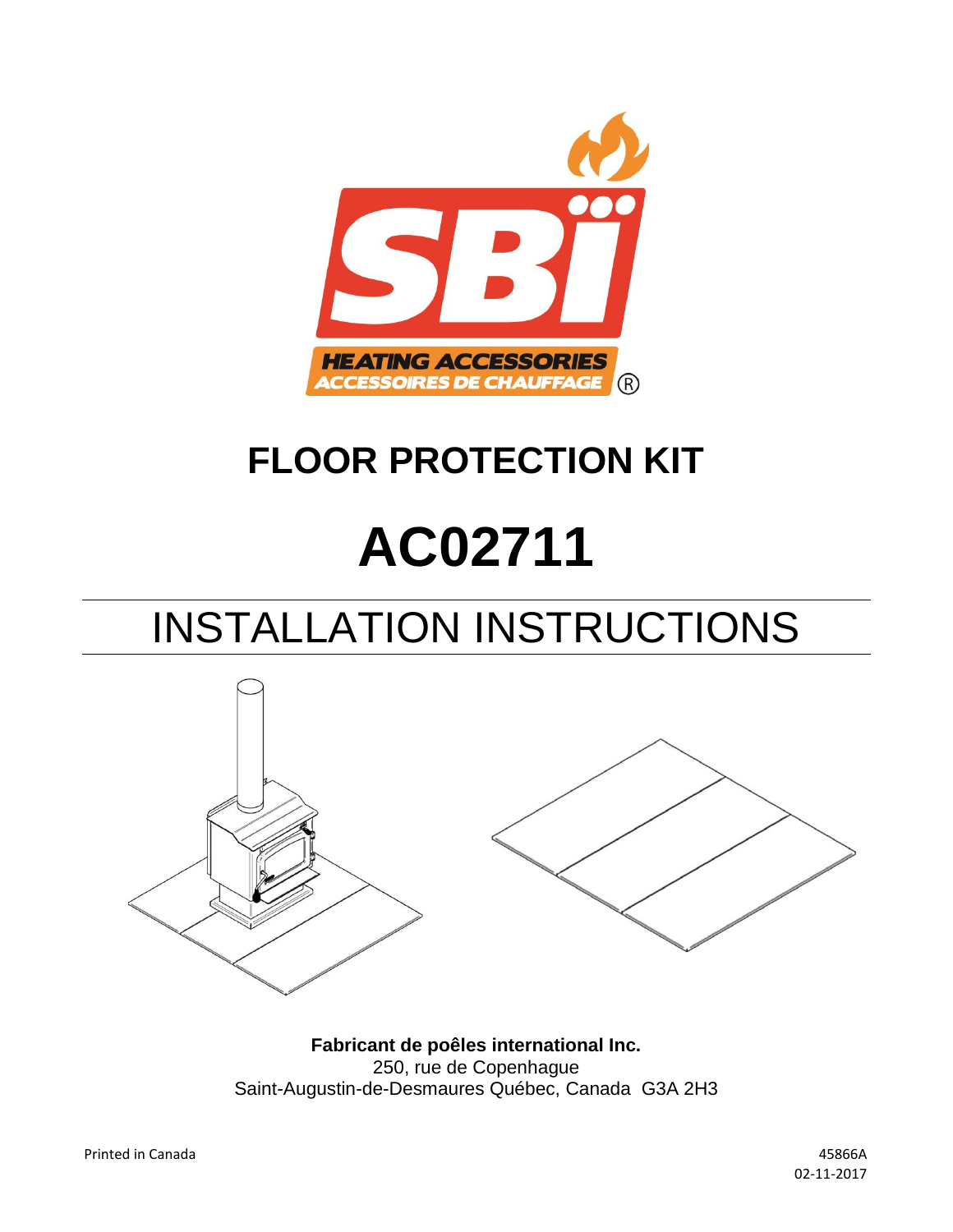

## **FLOOR PROTECTION KIT**

# **AC02711**

## INSTALLATION INSTRUCTIONS



**Fabricant de poêles international Inc.** 250, rue de Copenhague Saint-Augustin-de-Desmaures Québec, Canada G3A 2H3

02-11-2017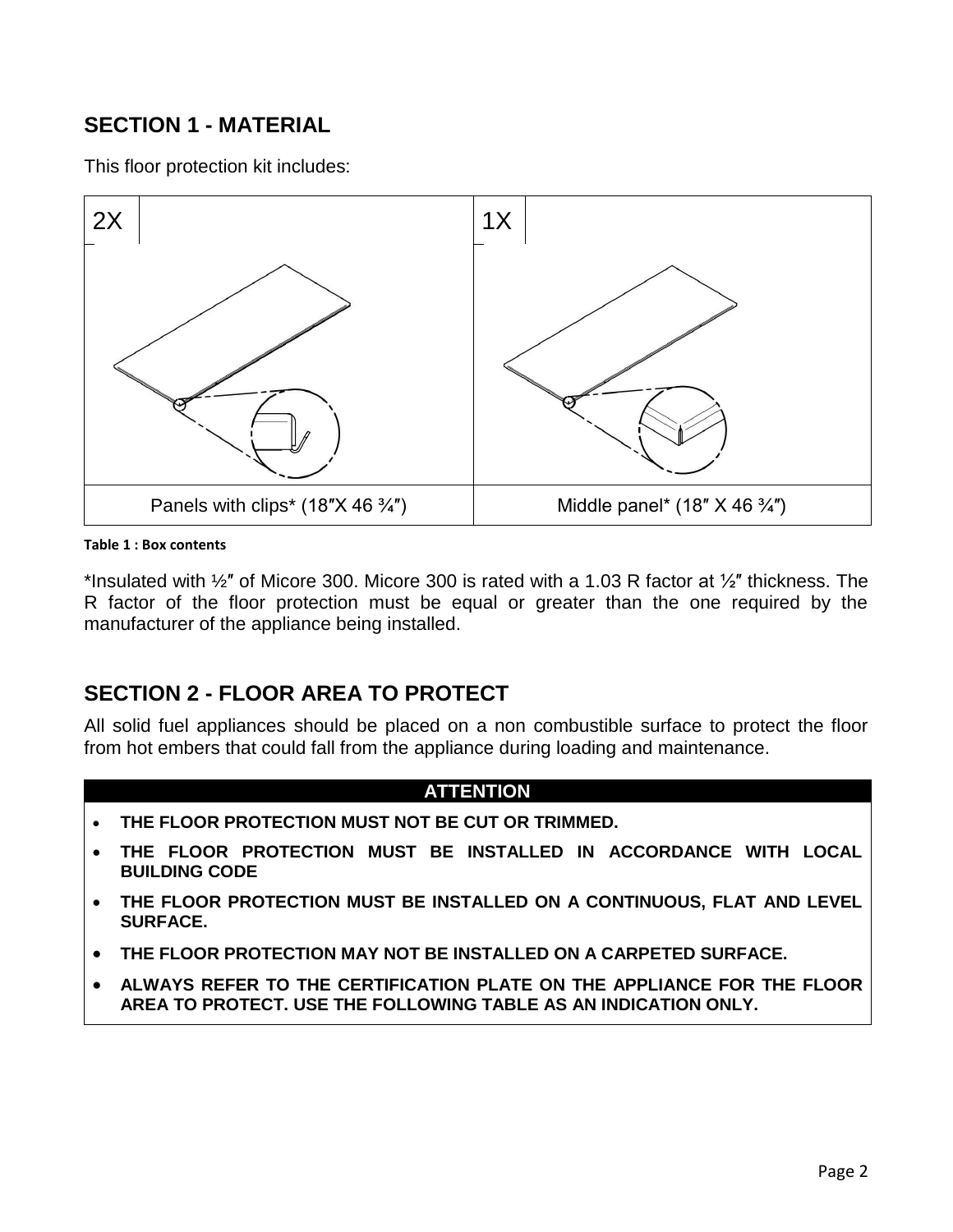## **SECTION 1 - MATERIAL**

This floor protection kit includes:



#### **Table 1 : Box contents**

\*Insulated with  $\frac{1}{2}$ " of Micore 300. Micore 300 is rated with a 1.03 R factor at  $\frac{1}{2}$ " thickness. The R factor of the floor protection must be equal or greater than the one required by the manufacturer of the appliance being installed.

### **SECTION 2 - FLOOR AREA TO PROTECT**

All solid fuel appliances should be placed on a non combustible surface to protect the floor from hot embers that could fall from the appliance during loading and maintenance.

#### **ATTENTION**

- **THE FLOOR PROTECTION MUST NOT BE CUT OR TRIMMED.**
- **THE FLOOR PROTECTION MUST BE INSTALLED IN ACCORDANCE WITH LOCAL BUILDING CODE**
- **THE FLOOR PROTECTION MUST BE INSTALLED ON A CONTINUOUS, FLAT AND LEVEL SURFACE.**
- **THE FLOOR PROTECTION MAY NOT BE INSTALLED ON A CARPETED SURFACE.**
- **ALWAYS REFER TO THE CERTIFICATION PLATE ON THE APPLIANCE FOR THE FLOOR AREA TO PROTECT. USE THE FOLLOWING TABLE AS AN INDICATION ONLY.**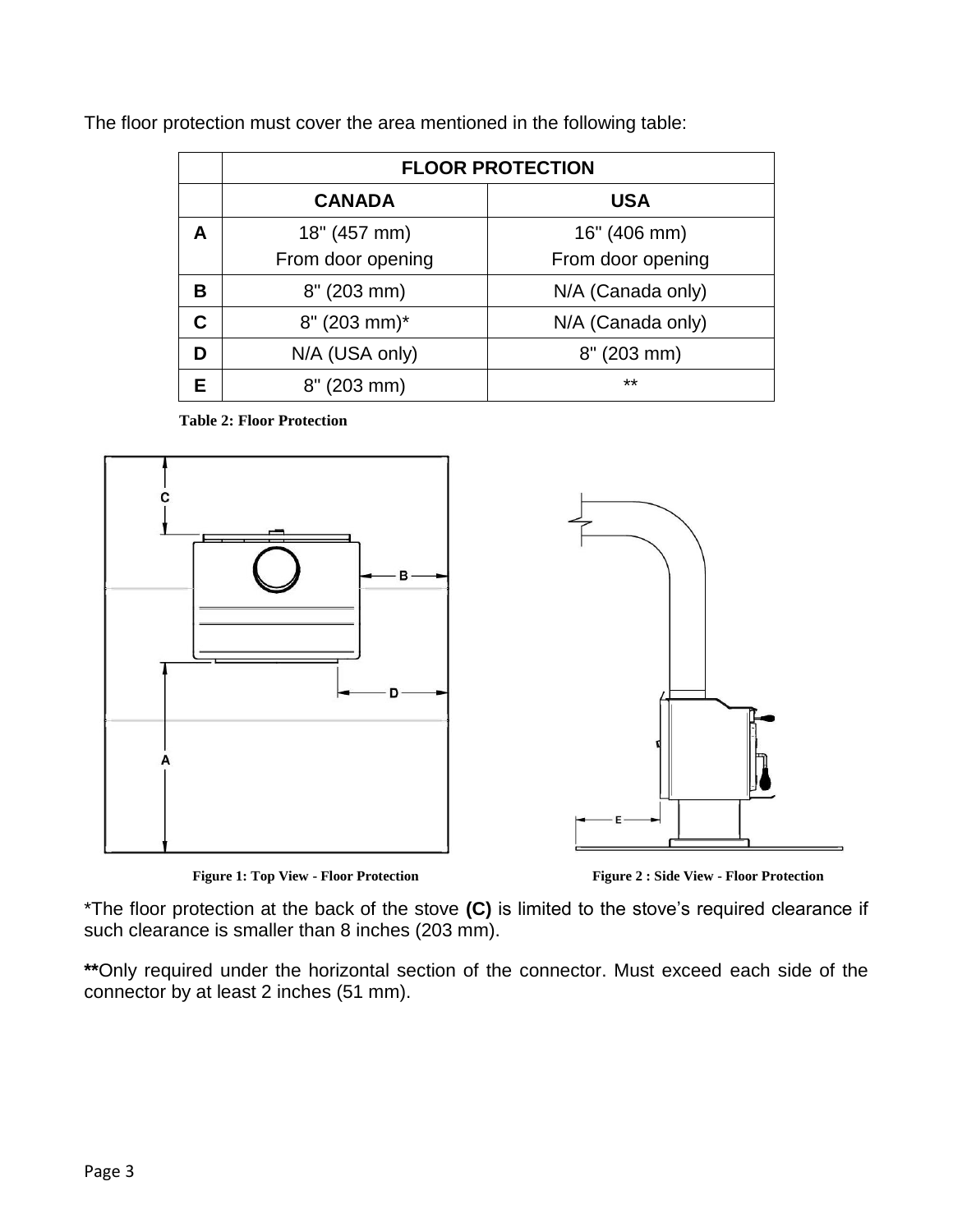|   | <b>FLOOR PROTECTION</b>    |                   |
|---|----------------------------|-------------------|
|   | <b>CANADA</b>              | <b>USA</b>        |
| A | 18" (457 mm)               | 16" (406 mm)      |
|   | From door opening          | From door opening |
| в | 8" (203 mm)                | N/A (Canada only) |
| C | $8" (203 mm)^*$            | N/A (Canada only) |
|   | N/A (USA only)             | 8" (203 mm)       |
|   | $(203 \, \text{mm})$<br>8" | $***$             |

 **Table 2: Floor Protection**



**Figure 1: Top View - Floor Protection Figure 2 : Side View - Floor Protection**

\*The floor protection at the back of the stove **(C)** is limited to the stove's required clearance if such clearance is smaller than 8 inches (203 mm).

**\*\***Only required under the horizontal section of the connector. Must exceed each side of the connector by at least 2 inches (51 mm).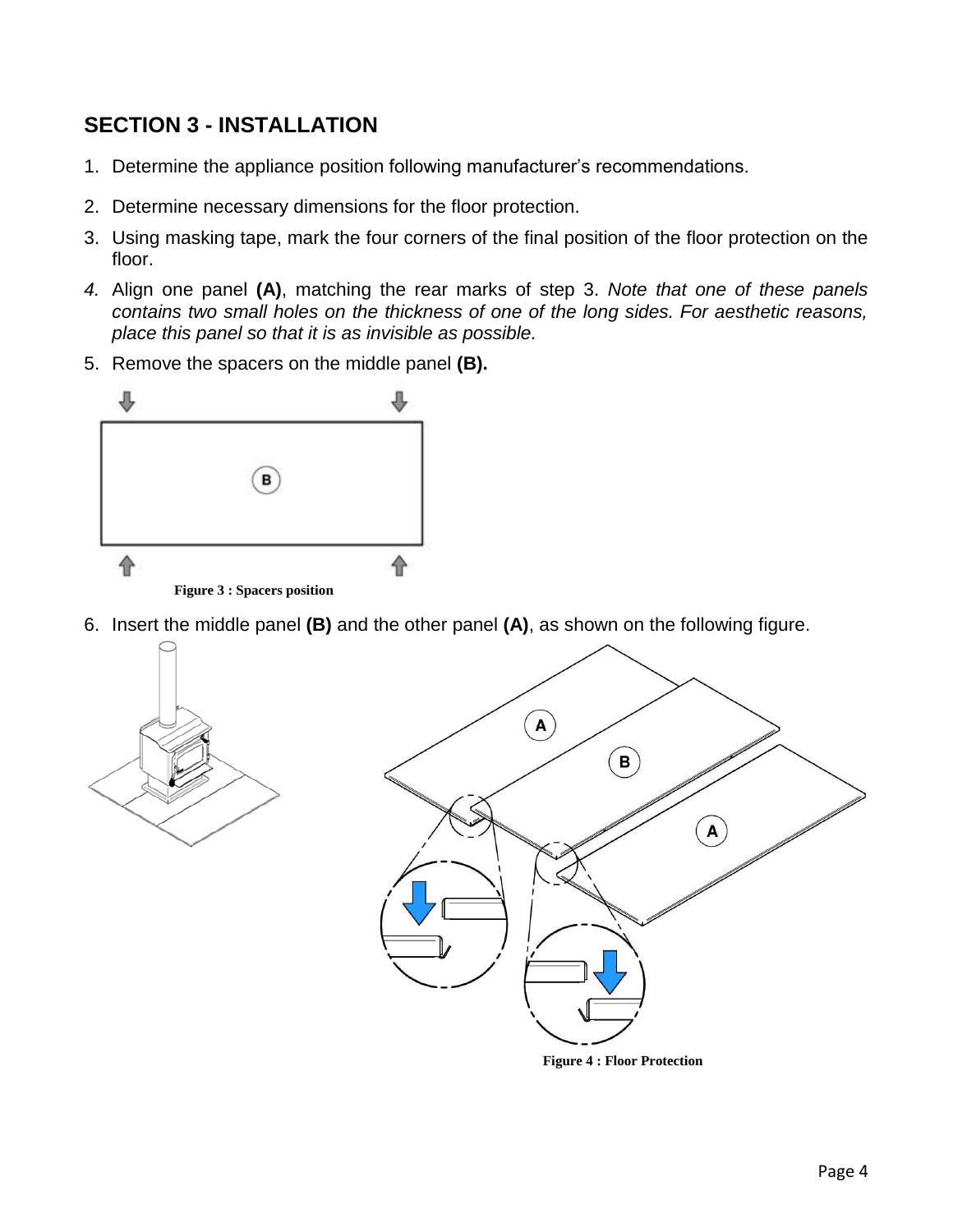## **SECTION 3 - INSTALLATION**

- 1. Determine the appliance position following manufacturer's recommendations.
- 2. Determine necessary dimensions for the floor protection.
- 3. Using masking tape, mark the four corners of the final position of the floor protection on the floor.
- *4.* Align one panel **(A)**, matching the rear marks of step 3. *Note that one of these panels contains two small holes on the thickness of one of the long sides. For aesthetic reasons, place this panel so that it is as invisible as possible.*
- 5. Remove the spacers on the middle panel **(B).**



6. Insert the middle panel **(B)** and the other panel **(A)**, as shown on the following figure.



**Figure 4 : Floor Protection**